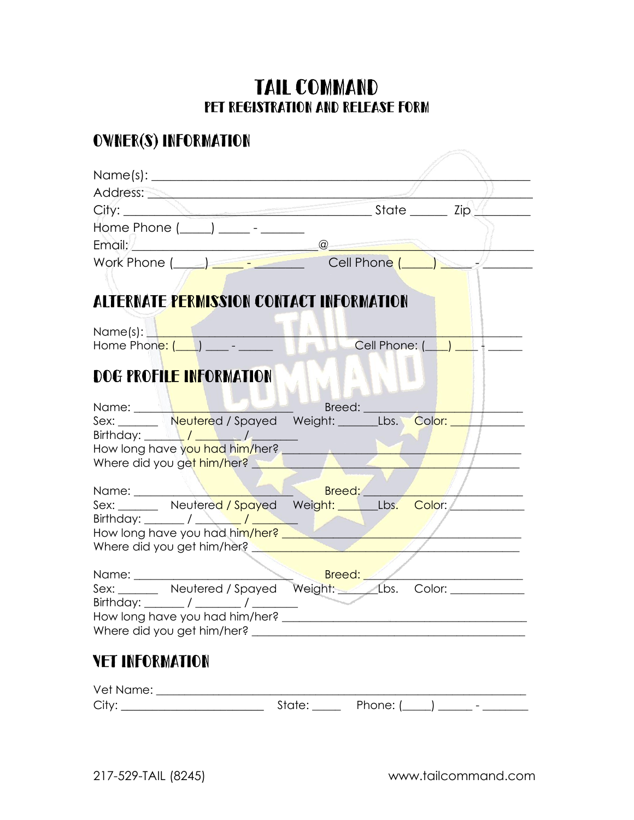## TAIL COMMAND Pet Registration and Release Form

### Owner(s) Information

|                        | Address: <u>New York State Address:</u>                                                                                                                                                                                          |  |                     |  |  |
|------------------------|----------------------------------------------------------------------------------------------------------------------------------------------------------------------------------------------------------------------------------|--|---------------------|--|--|
|                        |                                                                                                                                                                                                                                  |  |                     |  |  |
|                        | Home Phone $(\_\_\_\_\_\_\_\_$ - ________                                                                                                                                                                                        |  |                     |  |  |
|                        |                                                                                                                                                                                                                                  |  |                     |  |  |
|                        | Work Phone (Call Phone (Call Phone (Call Phone (Call Phone (Call Phone Call Phone Call Phone Call Phone Call Phone Call Phone Call Phone Call Phone Call Phone Call Phone Call Phone Call Phone Call Phone Call Phone Call Pho   |  |                     |  |  |
|                        |                                                                                                                                                                                                                                  |  |                     |  |  |
|                        | ALTERNATE PERMISSION CONTACT INFORMATION                                                                                                                                                                                         |  |                     |  |  |
|                        |                                                                                                                                                                                                                                  |  |                     |  |  |
|                        |                                                                                                                                                                                                                                  |  |                     |  |  |
|                        |                                                                                                                                                                                                                                  |  |                     |  |  |
|                        | DOG PROFILE INFORMATION                                                                                                                                                                                                          |  |                     |  |  |
|                        |                                                                                                                                                                                                                                  |  |                     |  |  |
|                        |                                                                                                                                                                                                                                  |  | Breed: <u>_____</u> |  |  |
|                        | Name: Name: Name: Name: New Lease of Spayed Weight: Libs. Color: New Lease of New York Color: New York Color: N<br>Sex: New York Online: New York Color: New York Online: New York Online: New York Online: New York Online: New |  |                     |  |  |
|                        | Birthday: $\sqrt{1-\frac{1}{2}}$                                                                                                                                                                                                 |  |                     |  |  |
|                        | How long have you had him/her? ______<br>Where did you get him/her?                                                                                                                                                              |  |                     |  |  |
|                        |                                                                                                                                                                                                                                  |  |                     |  |  |
| Name: _______          |                                                                                                                                                                                                                                  |  | Breed:              |  |  |
|                        | Sex: Neutered / Spayed Weight: Lbs. Color:                                                                                                                                                                                       |  |                     |  |  |
|                        | How long have you had him/her?                                                                                                                                                                                                   |  |                     |  |  |
|                        | Where did you get him/her?                                                                                                                                                                                                       |  |                     |  |  |
|                        |                                                                                                                                                                                                                                  |  |                     |  |  |
| Name: _______          |                                                                                                                                                                                                                                  |  | Breed:              |  |  |
|                        |                                                                                                                                                                                                                                  |  |                     |  |  |
|                        | How long have you had him/her? _                                                                                                                                                                                                 |  |                     |  |  |
|                        |                                                                                                                                                                                                                                  |  |                     |  |  |
|                        |                                                                                                                                                                                                                                  |  |                     |  |  |
| <b>VET INFORMATION</b> |                                                                                                                                                                                                                                  |  |                     |  |  |
|                        |                                                                                                                                                                                                                                  |  |                     |  |  |
|                        |                                                                                                                                                                                                                                  |  |                     |  |  |
|                        |                                                                                                                                                                                                                                  |  |                     |  |  |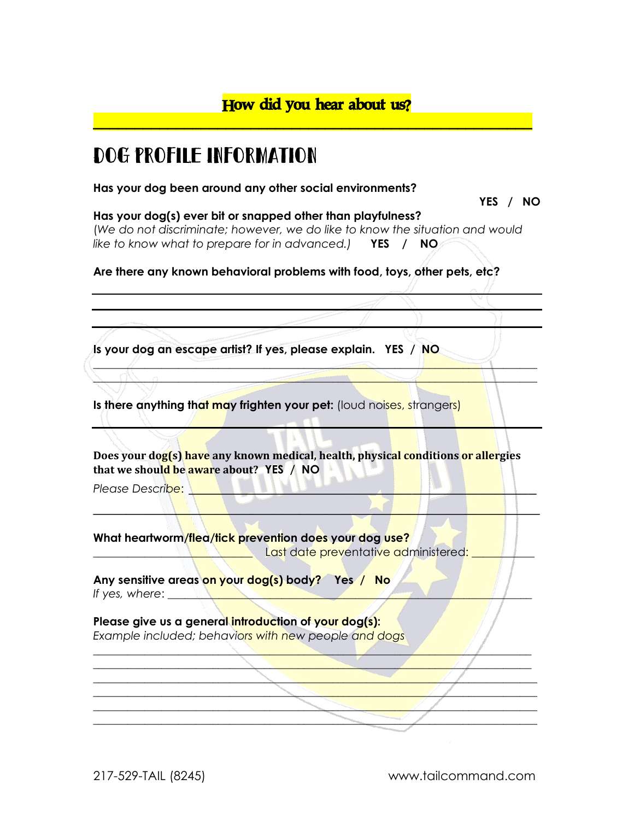## Dog Profile Information

**Has your dog been around any other social environments?** 

**YES / NO**

#### **Has your dog(s) ever bit or snapped other than playfulness?**  (*We do not discriminate; however, we do like to know the situation and would*

*like to know what to prepare for in advanced.)* **YES / NO**

**Are there any known behavioral problems with food, toys, other pets, etc?** 

**Is your dog an escape artist? If yes, please explain. YES / NO**

**Is there anything that may frighten your pet:** (loud noises, strangers)

**Does your dog(s) have any known medical, health, physical conditions or allergies that we should be aware about? YES / NO**

 $\mathbb{N} \setminus \mathbb{N}$ 

 $\blacksquare$  $\mathcal{L} = \{ \mathcal{L} \mid \mathcal{L} \neq \emptyset \}$ **\_\_\_\_\_\_\_\_\_\_\_\_\_\_\_\_\_\_\_\_\_\_\_\_\_\_\_\_\_\_\_\_\_\_\_\_\_\_\_\_\_\_\_\_\_\_\_\_\_\_\_\_\_\_\_\_\_\_\_\_\_\_\_\_\_\_\_\_\_\_\_\_\_\_\_\_\_\_ \_\_\_\_\_\_\_\_\_\_\_\_\_\_\_\_\_\_\_\_\_\_\_\_\_\_\_\_\_\_\_\_\_\_\_\_\_\_\_\_\_\_\_\_\_\_\_\_\_\_\_\_\_\_\_\_\_\_\_\_\_\_\_\_\_\_\_\_\_\_\_\_\_\_\_\_\_\_ \_\_\_\_\_\_\_\_\_\_\_\_\_\_\_\_\_\_\_\_\_\_\_\_\_\_\_\_\_\_\_\_\_\_\_\_\_\_\_\_\_\_\_\_\_\_\_\_\_\_\_\_\_\_\_\_\_\_\_\_\_\_\_\_\_\_\_\_\_\_\_\_\_\_\_\_\_\_ \_\_\_\_\_\_\_\_\_\_\_\_\_\_\_\_\_\_\_\_\_\_\_\_\_\_\_\_\_\_\_\_\_\_\_\_\_\_\_\_\_\_\_\_\_\_\_\_\_\_\_\_\_\_\_\_\_\_\_\_\_\_\_\_\_\_\_\_\_\_\_\_\_\_\_\_\_\_**

**\_\_\_\_\_\_\_\_\_\_\_\_\_\_\_\_\_\_\_\_\_\_\_\_\_\_\_\_\_\_\_\_\_\_\_\_\_\_\_\_\_\_\_\_\_\_\_\_\_\_\_\_\_\_\_\_\_\_\_\_\_\_\_\_\_\_\_\_\_\_\_\_\_\_\_\_\_\_ \_\_\_\_\_\_\_\_\_\_\_\_\_\_\_\_\_\_\_\_\_\_\_\_\_\_\_\_\_\_\_\_\_\_\_\_\_\_\_\_\_\_\_\_\_\_\_\_\_\_\_\_\_\_\_\_\_\_\_\_\_\_\_\_\_\_\_\_\_\_\_\_\_\_\_\_\_\_**

*Please Describe:* 

**What heartworm/flea/tick prevention does your dog use?**

Last date preventative administered: \_

**Any sensitive areas on your dog(s) body? Yes / No** *If yes, where*: \_\_\_\_\_\_\_\_\_\_\_\_\_\_\_\_\_\_\_\_\_\_\_\_\_\_\_\_\_\_\_\_\_\_\_\_\_\_\_\_\_\_\_\_\_\_\_\_\_\_\_\_\_\_\_\_\_\_\_\_\_\_\_\_

#### **Please give us a general introduction of your dog(s):** *Example included; behaviors with new people and dogs*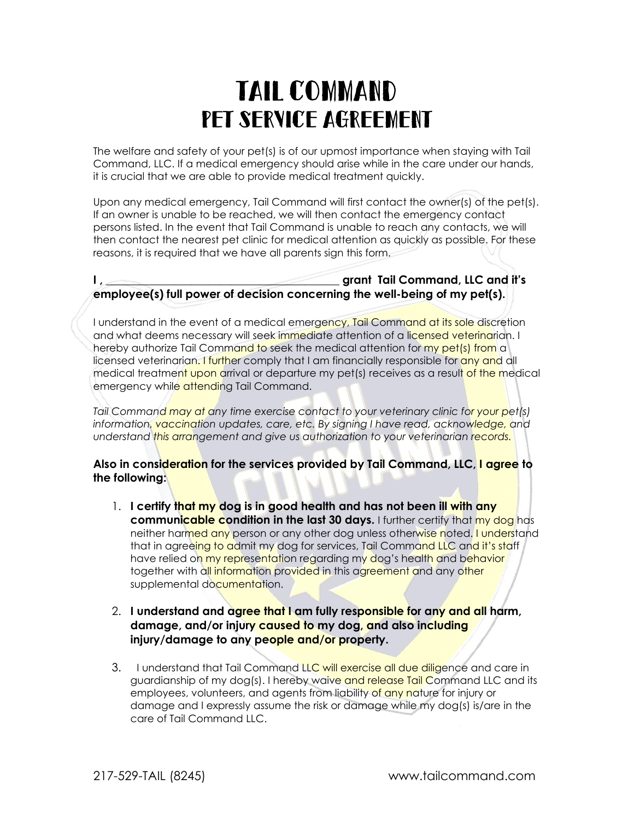# Tail Command Pet Service Agreement

The welfare and safety of your pet(s) is of our upmost importance when staying with Tail Command, LLC. If a medical emergency should arise while in the care under our hands, it is crucial that we are able to provide medical treatment quickly.

Upon any medical emergency, Tail Command will first contact the owner(s) of the pet(s). If an owner is unable to be reached, we will then contact the emergency contact persons listed. In the event that Tail Command is unable to reach any contacts, we will then contact the nearest pet clinic for medical attention as quickly as possible. For these reasons, it is required that we have all parents sign this form.

#### **I** , **Example 2** and **I** and **I** and **I** and **I** and **I** and **I** and **I** and **I** and **I** and **I** and **I** and **I** and **I** and **I** and **I** and **I** and **I** and **I** and **I** and **I** and **I** and **I** and **I** and **I** and **I** and **employee(s) full power of decision concerning the well-being of my pet(s).**

I understand in the event of a medical emergency, Tail Command at its sole discretion and what deems necessary will seek immediate attention of a licensed veterinarian. I hereby authorize Tail Command to seek the medical attention for my pet(s) from a licensed veterinarian. I further comply that I am financially responsible for any and all medical treatment upon arrival or departure my pet(s) receives as a result of the medical emergency while attending Tail Command.

*Tail Command may at any time exercise contact to your veterinary clinic for your pet(s) information, vaccination updates, care, etc. By signing I have read, acknowledge, and understand this arrangement and give us authorization to your veterinarian records.*

#### **Also in consideration for the services provided by Tail Command, LLC, I agree to the following:**

1. **I certify that my dog is in good health and has not been ill with any communicable condition in the last 30 days.** I further certify that my dog has neither harmed any person or any other dog unless otherwise noted. I understand that in agreeing to admit my dog for services, Tail Command LLC and it's staff have relied on my representation regarding my dog's health and behavior together with all information provided in this agreement and any other supplemental documentation.

#### 2. **I understand and agree that I am fully responsible for any and all harm, damage, and/or injury caused to my dog, and also including injury/damage to any people and/or property.**

3.I understand that Tail Command LLC will exercise all due diligence and care in guardianship of my dog(s). I hereby waive and release Tail Command LLC and its employees, volunteers, and agents from liability of any nature for injury or damage and I expressly assume the risk or damage while my dog(s) is/are in the care of Tail Command LLC.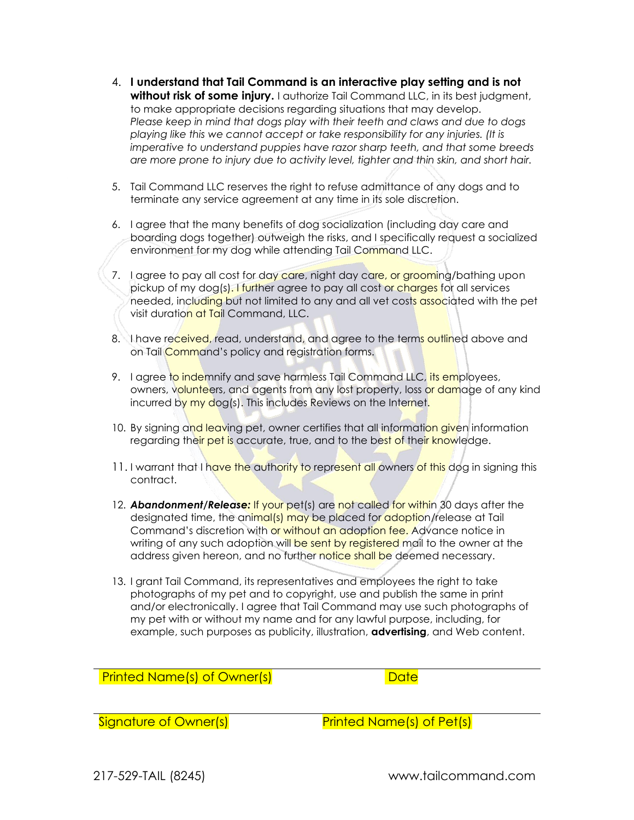- 4. **I understand that Tail Command is an interactive play setting and is not without risk of some injury.** I authorize Tail Command LLC, in its best judgment, to make appropriate decisions regarding situations that may develop. *Please keep in mind that dogs play with their teeth and claws and due to dogs playing like this we cannot accept or take responsibility for any injuries. (It is imperative to understand puppies have razor sharp teeth, and that some breeds are more prone to injury due to activity level, tighter and thin skin, and short hair.*
- 5. Tail Command LLC reserves the right to refuse admittance of any dogs and to terminate any service agreement at any time in its sole discretion.
- 6. I agree that the many benefits of dog socialization (including day care and boarding dogs together) outweigh the risks, and I specifically request a socialized environment for my dog while attending Tail Command LLC.
- 7. I agree to pay all cost for day care, night day care, or grooming/bathing upon pickup of my dog(s). I further agree to pay all cost or charges for all services needed, including but not limited to any and all vet costs associated with the pet visit duration at Tail Command, LLC.
- 8. I have received, read, understand, and agree to the terms outlined above and on Tail **Command's policy and registration forms.**
- 9. I agree to indemnify and save harmless Tail Command LLC, its employees, owners, volunteers, and agents from any lost property, loss or damage of any kind incurred by my dog(s). This includes Reviews on the Internet.
- 10. By signing and leaving pet, owner certifies that all information given information regarding their pet is accurate, true, and to the best of their knowledge.
- 11. I warrant that I have the authority to represent all owners of this dog in signing this contract.
- 12. *Abandonment/Release:* If your pet(s) are not called for within 30 days after the designated time, the animal(s) may be placed for adoption/release at Tail Command's discretion with or without an adoption fee. Advance notice in writing of any such adoption will be sent by registered mail to the owner at the address given hereon, and no further notice shall be deemed necessary.
- 13. I grant Tail Command, its representatives and employees the right to take photographs of my pet and to copyright, use and publish the same in print and/or electronically. I agree that Tail Command may use such photographs of my pet with or without my name and for any lawful purpose, including, for example, such purposes as publicity, illustration, **advertising**, and Web content.

Printed Name(s) of Owner(s) and the control of Date

Signature of Owner(s) Signature of Owner(s)